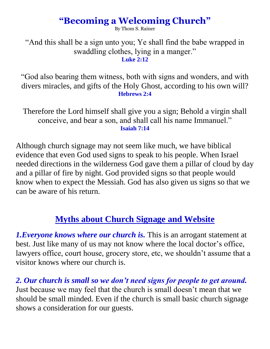## **"Becoming a Welcoming Church"**

By Thom S. Rainer

"And this shall be a sign unto you; Ye shall find the babe wrapped in swaddling clothes, lying in a manger." **Luke 2:12**

"God also bearing them witness, both with signs and wonders, and with divers miracles, and gifts of the Holy Ghost, according to his own will? **Hebrews 2:4**

Therefore the Lord himself shall give you a sign; Behold a virgin shall conceive, and bear a son, and shall call his name Immanuel." **Isaiah 7:14**

Although church signage may not seem like much, we have biblical evidence that even God used signs to speak to his people. When Israel needed directions in the wilderness God gave them a pillar of cloud by day and a pillar of fire by night. God provided signs so that people would know when to expect the Messiah. God has also given us signs so that we can be aware of his return.

## **Myths about Church Signage and Website**

*1.Everyone knows where our church is. This is an arrogant statement at* best. Just like many of us may not know where the local doctor's office, lawyers office, court house, grocery store, etc, we shouldn't assume that a visitor knows where our church is.

*2. Our church is small so we don't need signs for people to get around.* Just because we may feel that the church is small doesn't mean that we should be small minded. Even if the church is small basic church signage shows a consideration for our guests.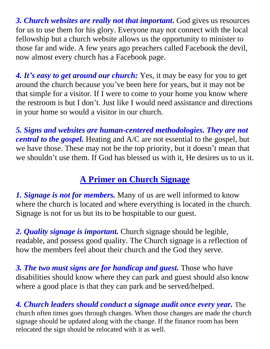*3. Church websites are really not that important.* God gives us resources for us to use them for his glory. Everyone may not connect with the local fellowship but a church website allows us the opportunity to minister to those far and wide. A few years ago preachers called Facebook the devil, now almost every church has a Facebook page.

*4. It's easy to get around our church:* Yes, it may be easy for you to get around the church because you've been here for years, but it may not be that simple for a visitor. If I were to come to your home you know where the restroom is but I don't. Just like I would need assistance and directions in your home so would a visitor in our church.

*5. Signs and websites are human-centered methodologies. They are not central to the gospel.* Heating and A/C are not essential to the gospel, but we have those. These may not be the top priority, but it doesn't mean that we shouldn't use them. If God has blessed us with it, He desires us to us it.

## **A Primer on Church Signage**

*1. Signage is not for members.* Many of us are well informed to know where the church is located and where everything is located in the church. Signage is not for us but its to be hospitable to our guest.

*2. Quality signage is important.* Church signage should be legible, readable, and possess good quality. The Church signage is a reflection of how the members feel about their church and the God they serve.

*3. The two must signs are for handicap and guest.* Those who have disabilities should know where they can park and guest should also know where a good place is that they can park and be served/helped.

*4. Church leaders should conduct a signage audit once every year.* The church often times goes through changes. When those changes are made the church signage should be updated along with the change. If the finance room has been relocated the sign should be relocated with it as well.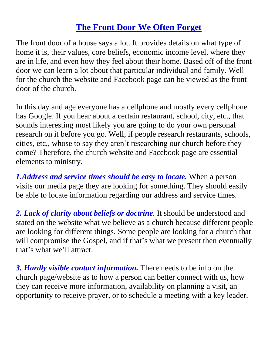## **The Front Door We Often Forget**

The front door of a house says a lot. It provides details on what type of home it is, their values, core beliefs, economic income level, where they are in life, and even how they feel about their home. Based off of the front door we can learn a lot about that particular individual and family. Well for the church the website and Facebook page can be viewed as the front door of the church.

In this day and age everyone has a cellphone and mostly every cellphone has Google. If you hear about a certain restaurant, school, city, etc., that sounds interesting most likely you are going to do your own personal research on it before you go. Well, if people research restaurants, schools, cities, etc., whose to say they aren't researching our church before they come? Therefore, the church website and Facebook page are essential elements to ministry.

*1.Address and service times should be easy to locate.* When a person visits our media page they are looking for something. They should easily be able to locate information regarding our address and service times.

*2. Lack of clarity about beliefs or doctrine.* It should be understood and stated on the website what we believe as a church because different people are looking for different things. Some people are looking for a church that will compromise the Gospel, and if that's what we present then eventually that's what we'll attract.

*3. Hardly visible contact information.* There needs to be info on the church page/website as to how a person can better connect with us, how they can receive more information, availability on planning a visit, an opportunity to receive prayer, or to schedule a meeting with a key leader.